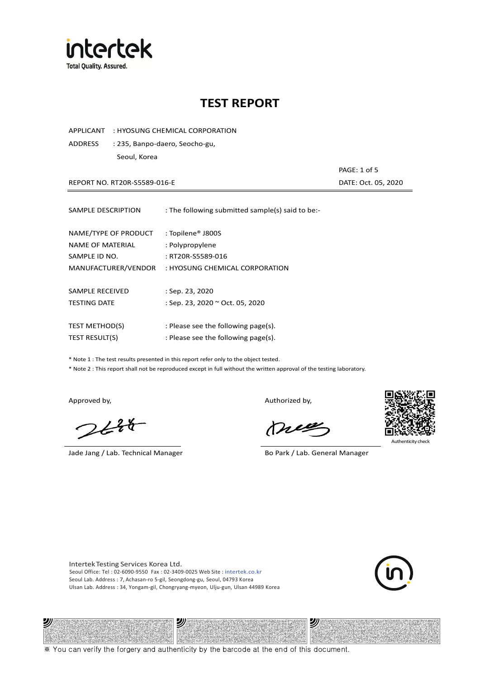

APPLICANT : HYOSUNG CHEMICAL CORPORATION

ADDRESS : 235, Banpo-daero, Seocho-gu, Seoul, Korea

REPORT NO. RT20R-S5589-016-E **DATE: Oct. 05, 2020** 

PAGE: 1 of 5

| SAMPLE DESCRIPTION                       | : The following submitted sample(s) said to be:- |
|------------------------------------------|--------------------------------------------------|
| NAME/TYPE OF PRODUCT<br>NAME OF MATERIAL | : Topilene® J800S<br>: Polypropylene             |
| SAMPLE ID NO.                            | : RT20R-S5589-016                                |
| MANUFACTURER/VENDOR                      | : HYOSUNG CHEMICAL CORPORATION                   |
|                                          |                                                  |
| SAMPLE RECEIVED                          | : Sep. 23, 2020                                  |
| <b>TESTING DATE</b>                      | : Sep. 23, 2020 ~ Oct. 05, 2020                  |
|                                          |                                                  |
| <b>TEST METHOD(S)</b>                    | : Please see the following page(s).              |
| <b>TEST RESULT(S)</b>                    | : Please see the following page(s).              |

\* Note 1 : The test results presented in this report refer only to the object tested.

\* Note 2 : This report shall not be reproduced except in full without the written approval of the testing laboratory.

沙

 $2648$ 

Jade Jang / Lab. Technical Manager Bo Park / Lab. General Manager

Approved by, and the state of the control of the Authorized by,

Mie

沙



Authenticity ch

Intertek Testing Services Korea Ltd. Seoul Office: Tel : 02-6090-9550 Fax : 02-3409-0025 Web Site : intertek.co.kr Seoul Lab. Address : 7, Achasan-ro 5-gil, Seongdong-gu, Seoul, 04793 Korea Ulsan Lab. Address : 34, Yongam-gil, Chongryang-myeon, Ulju-gun, Ulsan 44989 Korea

沙



※ You can verify the forgery and authenticity by the barcode at the end of this document.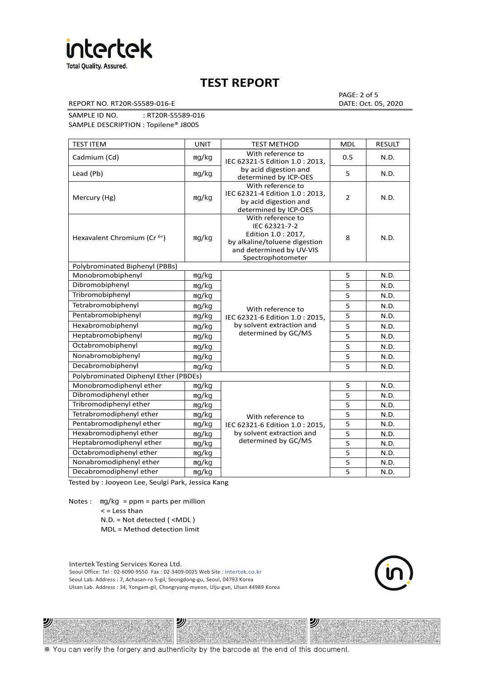

REPORT NO. RT20R-S5589-016-E DATE: Oct. 05, 2020

PAGE: 2 of 5

SAMPLE ID NO. : RT20R-S5589-016 SAMPLE DESCRIPTION : Topilene® J800S

| <b>TEST ITEM</b>                        | <b>UNIT</b> | <b>TEST METHOD</b>                                                                                                                          | <b>MDL</b>     | <b>RESULT</b> |
|-----------------------------------------|-------------|---------------------------------------------------------------------------------------------------------------------------------------------|----------------|---------------|
| Cadmium (Cd)                            | mg/kg       | With reference to<br>IEC 62321-5 Edition 1.0: 2013.                                                                                         | 0.5            | N.D.          |
| Lead (Pb)                               | mg/kg       | by acid digestion and<br>determined by ICP-OES                                                                                              | 5              | N.D.          |
| Mercury (Hg)                            | mg/kg       | With reference to<br>IEC 62321-4 Edition 1.0 : 2013,<br>by acid digestion and<br>determined by ICP-OES                                      | $\overline{2}$ | N.D.          |
| Hexavalent Chromium (Cr <sup>6+</sup> ) | mg/kg       | With reference to<br>IEC 62321-7-2<br>Edition 1.0 : 2017,<br>by alkaline/toluene digestion<br>and determined by UV-VIS<br>Spectrophotometer | 8              | N.D.          |
| Polybrominated Biphenyl (PBBs)          |             |                                                                                                                                             |                |               |
| Monobromobiphenyl                       | mg/kg       |                                                                                                                                             | 5              | N.D.          |
| Dibromobiphenyl                         | mg/kg       |                                                                                                                                             | 5              | N.D.          |
| Tribromobiphenyl                        | mg/kg       |                                                                                                                                             | 5              | N.D.          |
| Tetrabromobiphenyl                      | mg/kg       | With reference to                                                                                                                           | 5              | N.D.          |
| Pentabromobiphenyl                      | mg/kg       | IEC 62321-6 Edition 1.0 : 2015,                                                                                                             | 5              | N.D.          |
| Hexabromobiphenyl                       | mg/kg       | by solvent extraction and                                                                                                                   | 5              | N.D.          |
| Heptabromobiphenyl                      | mg/kg       | determined by GC/MS                                                                                                                         | 5              | N.D.          |
| Octabromobiphenyl                       | mg/kg       |                                                                                                                                             |                | N.D.          |
| Nonabromobiphenyl                       | mg/kg       |                                                                                                                                             | 5              | N.D.          |
| Decabromobiphenyl                       | mg/kg       |                                                                                                                                             | 5              | N.D.          |
| Polybrominated Diphenyl Ether (PBDEs)   |             |                                                                                                                                             |                |               |
| Monobromodiphenyl ether                 | mg/kg       |                                                                                                                                             | 5              | N.D.          |
| Dibromodiphenyl ether                   | mg/kg       |                                                                                                                                             | 5              | N.D.          |
| Tribromodiphenyl ether                  | mg/kg       |                                                                                                                                             | 5              | N.D.          |
| Tetrabromodiphenyl ether                | mg/kg       | With reference to                                                                                                                           | 5              | N.D.          |
| Pentabromodiphenyl ether                | mg/kg       | IEC 62321-6 Edition 1.0 : 2015,                                                                                                             | 5              | N.D.          |
| Hexabromodiphenyl ether                 | mg/kg       | by solvent extraction and                                                                                                                   | 5              | N.D.          |
| Heptabromodiphenyl ether                | mg/kg       | determined by GC/MS                                                                                                                         | 5              | N.D.          |
| Octabromodiphenyl ether                 | mg/kg       |                                                                                                                                             | 5              | N.D.          |
| Nonabromodiphenyl ether                 | mg/kg       | 5                                                                                                                                           |                | N.D.          |
| Decabromodiphenyl ether                 | mg/kg       |                                                                                                                                             | 5              | N.D.          |

Tested by : Jooyeon Lee, Seulgi Park, Jessica Kang

Notes : mg/kg = ppm = parts per million  $<$  = Less than

沙

N.D. = Not detected ( <MDL )

MDL = Method detection limit

Intertek Testing Services Korea Ltd. Seoul Office: Tel : 02-6090-9550 Fax : 02-3409-0025 Web Site : intertek.co.kr Seoul Lab. Address : 7, Achasan-ro 5-gil, Seongdong-gu, Seoul, 04793 Korea Ulsan Lab. Address : 34, Yongam-gil, Chongryang-myeon, Ulju-gun, Ulsan 44989 Korea

ツ

沙

※ You can verify the forgery and authenticity by the barcode at the end of this document.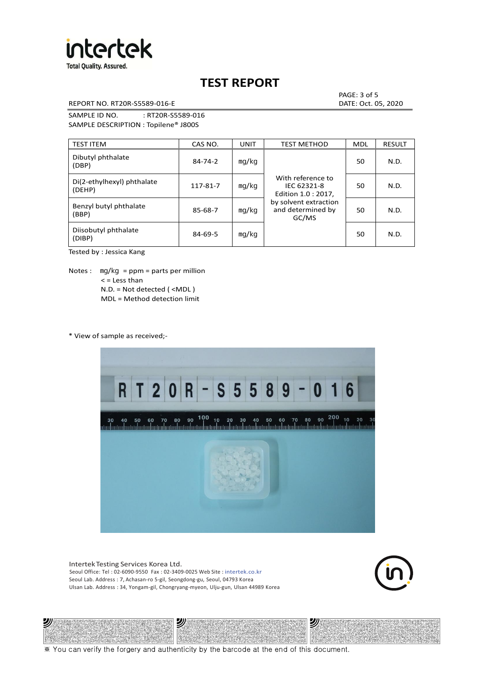

REPORT NO. RT20R-S5589-016-E DATE: Oct. 05, 2020

PAGE: 3 of 5

SAMPLE ID NO. : RT20R-S5589-016 SAMPLE DESCRIPTION : Topilene® J800S

| <b>TEST ITEM</b>                     | CAS NO.       | <b>UNIT</b> | <b>TEST METHOD</b>                                      | <b>MDL</b> | <b>RESULT</b> |
|--------------------------------------|---------------|-------------|---------------------------------------------------------|------------|---------------|
| Dibutyl phthalate<br>(DBP)           | $84 - 74 - 2$ | mg/kg       | With reference to<br>IEC 62321-8<br>Edition 1.0 : 2017, | 50         | N.D.          |
| Di(2-ethylhexyl) phthalate<br>(DEHP) | 117-81-7      | mg/kg       |                                                         | 50         | N.D.          |
| Benzyl butyl phthalate<br>(BBP)      | 85-68-7       | mg/kg       | by solvent extraction<br>and determined by<br>GC/MS     | 50         | N.D.          |
| Diisobutyl phthalate<br>(DIBP)       | $84 - 69 - 5$ | mg/kg       |                                                         | 50         | N.D.          |

Tested by : Jessica Kang

Notes :  $mq/kg = ppm = parts per million$  $<$  = Less than N.D. = Not detected ( <MDL ) MDL = Method detection limit

\* View of sample as received;-

ツル



Intertek Testing Services Korea Ltd. Seoul Office: Tel : 02-6090-9550 Fax : 02-3409-0025 Web Site : intertek.co.kr Seoul Lab. Address : 7, Achasan-ro 5-gil, Seongdong-gu, Seoul, 04793 Korea Ulsan Lab. Address : 34, Yongam-gil, Chongryang-myeon, Ulju-gun, Ulsan 44989 Korea

沙



沙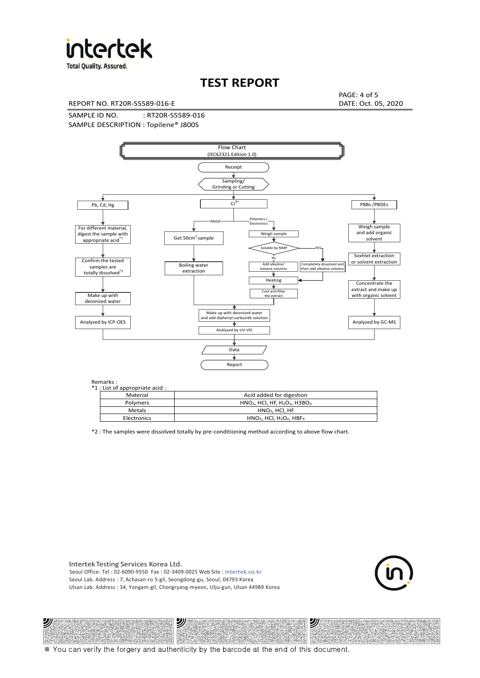

**Total Quality. Assured.** 

## **TEST REPORT**

REPORT NO. RT20R-S5589-016-E DATE: Oct. 05, 2020

PAGE: 4 of 5

SAMPLE ID NO. : RT20R-S5589-016 SAMPLE DESCRIPTION : Topilene® J800S



| *1 : List of appropriate acid : |                                                                     |
|---------------------------------|---------------------------------------------------------------------|
| Material                        | Acid added for digestion                                            |
| Polymers                        | $HNO3$ , HCl, HF, H <sub>2</sub> O <sub>2</sub> , H3BO <sub>3</sub> |
| Metals                          | $HNO3$ . HCl. HF                                                    |
| Electronics                     | $HNO3$ , HCl, H <sub>2</sub> O <sub>2</sub> , HBF <sub>4</sub>      |

\*2 : The samples were dissolved totally by pre-conditioning method according to above flow chart.

Intertek Testing Services Korea Ltd. Seoul Office: Tel : 02-6090-9550 Fax : 02-3409-0025 Web Site : intertek.co.kr Seoul Lab. Address : 7, Achasan-ro 5-gil, Seongdong-gu, Seoul, 04793 Korea Ulsan Lab. Address : 34, Yongam-gil, Chongryang-myeon, Ulju-gun, Ulsan 44989 Korea

沙

沙



沙